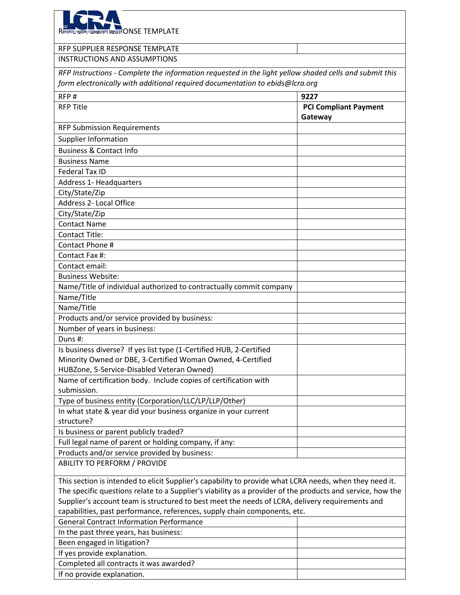| RENERGY: WATER . COMMUNITY SERVICES ONSE TEMPLATE                                                          |                                         |
|------------------------------------------------------------------------------------------------------------|-----------------------------------------|
|                                                                                                            |                                         |
| RFP SUPPLIER RESPONSE TEMPLATE                                                                             |                                         |
| <b>INSTRUCTIONS AND ASSUMPTIONS</b>                                                                        |                                         |
| RFP Instructions - Complete the information requested in the light yellow shaded cells and submit this     |                                         |
| form electronically with additional required documentation to ebids@lcra.org                               |                                         |
| RFP#                                                                                                       | 9227                                    |
| <b>RFP Title</b>                                                                                           | <b>PCI Compliant Payment</b><br>Gateway |
| <b>RFP Submission Requirements</b>                                                                         |                                         |
| <b>Supplier Information</b>                                                                                |                                         |
| <b>Business &amp; Contact Info</b>                                                                         |                                         |
| <b>Business Name</b>                                                                                       |                                         |
| <b>Federal Tax ID</b>                                                                                      |                                         |
| Address 1- Headquarters                                                                                    |                                         |
| City/State/Zip                                                                                             |                                         |
| Address 2- Local Office                                                                                    |                                         |
| City/State/Zip                                                                                             |                                         |
| <b>Contact Name</b>                                                                                        |                                         |
| <b>Contact Title:</b>                                                                                      |                                         |
| Contact Phone #                                                                                            |                                         |
| Contact Fax #:                                                                                             |                                         |
| Contact email:                                                                                             |                                         |
| <b>Business Website:</b>                                                                                   |                                         |
| Name/Title of individual authorized to contractually commit company                                        |                                         |
| Name/Title                                                                                                 |                                         |
| Name/Title                                                                                                 |                                         |
| Products and/or service provided by business:                                                              |                                         |
| Number of years in business:                                                                               |                                         |
| Duns #:                                                                                                    |                                         |
| Is business diverse? If yes list type (1-Certified HUB, 2-Certified                                        |                                         |
| Minority Owned or DBE, 3-Certified Woman Owned, 4-Certified                                                |                                         |
| HUBZone, 5-Service-Disabled Veteran Owned)                                                                 |                                         |
| Name of certification body. Include copies of certification with                                           |                                         |
| submission.                                                                                                |                                         |
| Type of business entity (Corporation/LLC/LP/LLP/Other)                                                     |                                         |
| In what state & year did your business organize in your current                                            |                                         |
| structure?                                                                                                 |                                         |
| Is business or parent publicly traded?                                                                     |                                         |
| Full legal name of parent or holding company, if any:                                                      |                                         |
| Products and/or service provided by business:                                                              |                                         |
| <b>ABILITY TO PERFORM / PROVIDE</b>                                                                        |                                         |
| This section is intended to elicit Supplier's capability to provide what LCRA needs, when they need it.    |                                         |
| The specific questions relate to a Supplier's viability as a provider of the products and service, how the |                                         |
| Supplier's account team is structured to best meet the needs of LCRA, delivery requirements and            |                                         |
| capabilities, past performance, references, supply chain components, etc.                                  |                                         |
| <b>General Contract Information Performance</b>                                                            |                                         |
| In the past three years, has business:                                                                     |                                         |
| Been engaged in litigation?                                                                                |                                         |
| If yes provide explanation.                                                                                |                                         |
| Completed all contracts it was awarded?                                                                    |                                         |

If no provide explanation.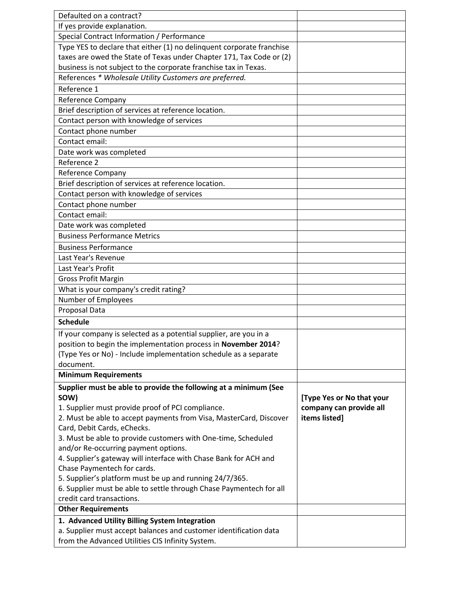| Defaulted on a contract?                                                                                                |                                          |
|-------------------------------------------------------------------------------------------------------------------------|------------------------------------------|
| If yes provide explanation.                                                                                             |                                          |
| Special Contract Information / Performance                                                                              |                                          |
| Type YES to declare that either (1) no delinquent corporate franchise                                                   |                                          |
| taxes are owed the State of Texas under Chapter 171, Tax Code or (2)                                                    |                                          |
| business is not subject to the corporate franchise tax in Texas.                                                        |                                          |
| References * Wholesale Utility Customers are preferred.                                                                 |                                          |
| Reference 1                                                                                                             |                                          |
| Reference Company                                                                                                       |                                          |
| Brief description of services at reference location.                                                                    |                                          |
| Contact person with knowledge of services                                                                               |                                          |
| Contact phone number                                                                                                    |                                          |
| Contact email:                                                                                                          |                                          |
| Date work was completed                                                                                                 |                                          |
| Reference 2                                                                                                             |                                          |
| Reference Company                                                                                                       |                                          |
| Brief description of services at reference location.                                                                    |                                          |
| Contact person with knowledge of services                                                                               |                                          |
| Contact phone number                                                                                                    |                                          |
| Contact email:                                                                                                          |                                          |
| Date work was completed                                                                                                 |                                          |
| <b>Business Performance Metrics</b>                                                                                     |                                          |
| <b>Business Performance</b>                                                                                             |                                          |
| Last Year's Revenue                                                                                                     |                                          |
| Last Year's Profit                                                                                                      |                                          |
| <b>Gross Profit Margin</b>                                                                                              |                                          |
| What is your company's credit rating?                                                                                   |                                          |
| Number of Employees                                                                                                     |                                          |
| Proposal Data                                                                                                           |                                          |
| <b>Schedule</b>                                                                                                         |                                          |
| If your company is selected as a potential supplier, are you in a                                                       |                                          |
| position to begin the implementation process in November 2014?                                                          |                                          |
| (Type Yes or No) - Include implementation schedule as a separate                                                        |                                          |
| document.                                                                                                               |                                          |
| <b>Minimum Requirements</b>                                                                                             |                                          |
|                                                                                                                         |                                          |
| Supplier must be able to provide the following at a minimum (See                                                        |                                          |
| SOW)                                                                                                                    | [Type Yes or No that your                |
| 1. Supplier must provide proof of PCI compliance.<br>2. Must be able to accept payments from Visa, MasterCard, Discover | company can provide all<br>items listed] |
| Card, Debit Cards, eChecks.                                                                                             |                                          |
| 3. Must be able to provide customers with One-time, Scheduled                                                           |                                          |
| and/or Re-occurring payment options.                                                                                    |                                          |
| 4. Supplier's gateway will interface with Chase Bank for ACH and                                                        |                                          |
| Chase Paymentech for cards.                                                                                             |                                          |
| 5. Supplier's platform must be up and running 24/7/365.                                                                 |                                          |
| 6. Supplier must be able to settle through Chase Paymentech for all                                                     |                                          |
| credit card transactions.                                                                                               |                                          |
| <b>Other Requirements</b>                                                                                               |                                          |
| 1. Advanced Utility Billing System Integration                                                                          |                                          |
| a. Supplier must accept balances and customer identification data                                                       |                                          |
| from the Advanced Utilities CIS Infinity System.                                                                        |                                          |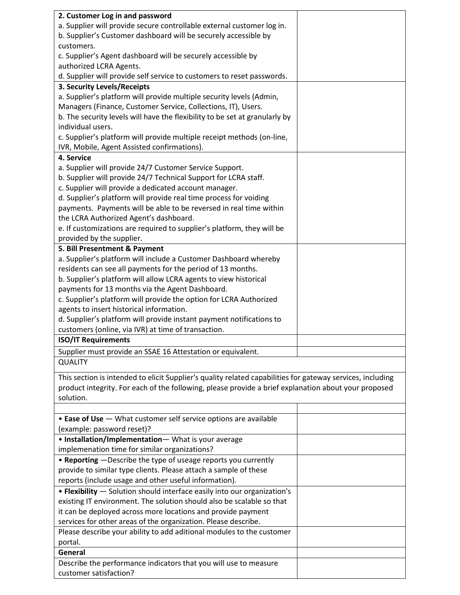| 2. Customer Log in and password                                                                            |  |
|------------------------------------------------------------------------------------------------------------|--|
| a. Supplier will provide secure controllable external customer log in.                                     |  |
| b. Supplier's Customer dashboard will be securely accessible by                                            |  |
| customers.                                                                                                 |  |
| c. Supplier's Agent dashboard will be securely accessible by                                               |  |
| authorized LCRA Agents.                                                                                    |  |
| d. Supplier will provide self service to customers to reset passwords.                                     |  |
| 3. Security Levels/Receipts                                                                                |  |
| a. Supplier's platform will provide multiple security levels (Admin,                                       |  |
| Managers (Finance, Customer Service, Collections, IT), Users.                                              |  |
| b. The security levels will have the flexibility to be set at granularly by                                |  |
| individual users.                                                                                          |  |
| c. Supplier's platform will provide multiple receipt methods (on-line,                                     |  |
|                                                                                                            |  |
| IVR, Mobile, Agent Assisted confirmations).                                                                |  |
| 4. Service                                                                                                 |  |
| a. Supplier will provide 24/7 Customer Service Support.                                                    |  |
| b. Supplier will provide 24/7 Technical Support for LCRA staff.                                            |  |
| c. Supplier will provide a dedicated account manager.                                                      |  |
| d. Supplier's platform will provide real time process for voiding                                          |  |
| payments. Payments will be able to be reversed in real time within                                         |  |
| the LCRA Authorized Agent's dashboard.                                                                     |  |
| e. If customizations are required to supplier's platform, they will be                                     |  |
| provided by the supplier.                                                                                  |  |
| 5. Bill Presentment & Payment                                                                              |  |
| a. Supplier's platform will include a Customer Dashboard whereby                                           |  |
| residents can see all payments for the period of 13 months.                                                |  |
| b. Supplier's platform will allow LCRA agents to view historical                                           |  |
| payments for 13 months via the Agent Dashboard.                                                            |  |
| c. Supplier's platform will provide the option for LCRA Authorized                                         |  |
|                                                                                                            |  |
| agents to insert historical information.                                                                   |  |
| d. Supplier's platform will provide instant payment notifications to                                       |  |
| customers (online, via IVR) at time of transaction.                                                        |  |
| <b>ISO/IT Requirements</b>                                                                                 |  |
| Supplier must provide an SSAE 16 Attestation or equivalent.                                                |  |
| <b>QUALITY</b>                                                                                             |  |
| This section is intended to elicit Supplier's quality related capabilities for gateway services, including |  |
| product integrity. For each of the following, please provide a brief explanation about your proposed       |  |
| solution.                                                                                                  |  |
|                                                                                                            |  |
| • Ease of Use - What customer self service options are available                                           |  |
| (example: password reset)?                                                                                 |  |
|                                                                                                            |  |
| • Installation/Implementation-What is your average                                                         |  |
| implemenation time for similar organizations?                                                              |  |
| • Reporting - Describe the type of useage reports you currently                                            |  |
| provide to similar type clients. Please attach a sample of these                                           |  |
| reports (include usage and other useful information).                                                      |  |
| • Flexibility - Solution should interface easily into our organization's                                   |  |
| existing IT environment. The solution should also be scalable so that                                      |  |
| it can be deployed across more locations and provide payment                                               |  |
| services for other areas of the organization. Please describe.                                             |  |
| Please describe your ability to add aditional modules to the customer                                      |  |
| portal.                                                                                                    |  |
| General                                                                                                    |  |
| Describe the performance indicators that you will use to measure                                           |  |
| customer satisfaction?                                                                                     |  |
|                                                                                                            |  |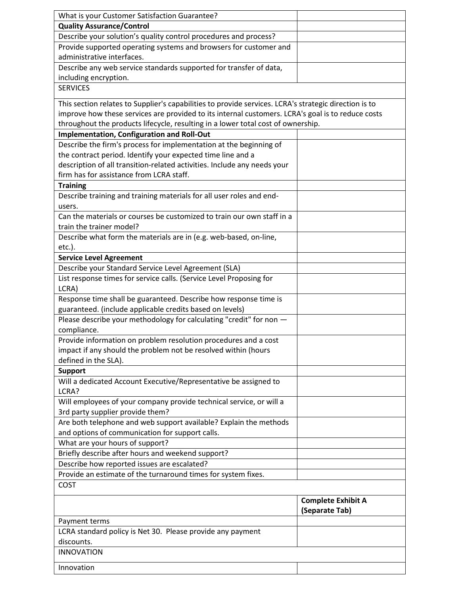| What is your Customer Satisfaction Guarantee?                                                         |                           |
|-------------------------------------------------------------------------------------------------------|---------------------------|
| <b>Quality Assurance/Control</b>                                                                      |                           |
| Describe your solution's quality control procedures and process?                                      |                           |
| Provide supported operating systems and browsers for customer and                                     |                           |
| administrative interfaces.                                                                            |                           |
| Describe any web service standards supported for transfer of data,                                    |                           |
| including encryption.                                                                                 |                           |
| <b>SERVICES</b>                                                                                       |                           |
|                                                                                                       |                           |
| This section relates to Supplier's capabilities to provide services. LCRA's strategic direction is to |                           |
| improve how these services are provided to its internal customers. LCRA's goal is to reduce costs     |                           |
| throughout the products lifecycle, resulting in a lower total cost of ownership.                      |                           |
| Implementation, Configuration and Roll-Out                                                            |                           |
| Describe the firm's process for implementation at the beginning of                                    |                           |
| the contract period. Identify your expected time line and a                                           |                           |
| description of all transition-related activities. Include any needs your                              |                           |
| firm has for assistance from LCRA staff.                                                              |                           |
| <b>Training</b>                                                                                       |                           |
| Describe training and training materials for all user roles and end-                                  |                           |
| users.                                                                                                |                           |
| Can the materials or courses be customized to train our own staff in a                                |                           |
| train the trainer model?                                                                              |                           |
| Describe what form the materials are in (e.g. web-based, on-line,                                     |                           |
|                                                                                                       |                           |
| $etc.$ ).                                                                                             |                           |
| <b>Service Level Agreement</b>                                                                        |                           |
| Describe your Standard Service Level Agreement (SLA)                                                  |                           |
| List response times for service calls. (Service Level Proposing for                                   |                           |
| LCRA)                                                                                                 |                           |
| Response time shall be guaranteed. Describe how response time is                                      |                           |
| guaranteed. (include applicable credits based on levels)                                              |                           |
| Please describe your methodology for calculating "credit" for non -                                   |                           |
| compliance.                                                                                           |                           |
| Provide information on problem resolution procedures and a cost                                       |                           |
| impact if any should the problem not be resolved within (hours                                        |                           |
| defined in the SLA).                                                                                  |                           |
| <b>Support</b>                                                                                        |                           |
| Will a dedicated Account Executive/Representative be assigned to                                      |                           |
| LCRA?                                                                                                 |                           |
| Will employees of your company provide technical service, or will a                                   |                           |
| 3rd party supplier provide them?                                                                      |                           |
| Are both telephone and web support available? Explain the methods                                     |                           |
| and options of communication for support calls.                                                       |                           |
| What are your hours of support?                                                                       |                           |
| Briefly describe after hours and weekend support?                                                     |                           |
| Describe how reported issues are escalated?                                                           |                           |
| Provide an estimate of the turnaround times for system fixes.                                         |                           |
| COST                                                                                                  |                           |
|                                                                                                       |                           |
|                                                                                                       | <b>Complete Exhibit A</b> |
|                                                                                                       | (Separate Tab)            |
| Payment terms                                                                                         |                           |
| LCRA standard policy is Net 30. Please provide any payment                                            |                           |
| discounts.                                                                                            |                           |
| <b>INNOVATION</b>                                                                                     |                           |
| Innovation                                                                                            |                           |
|                                                                                                       |                           |